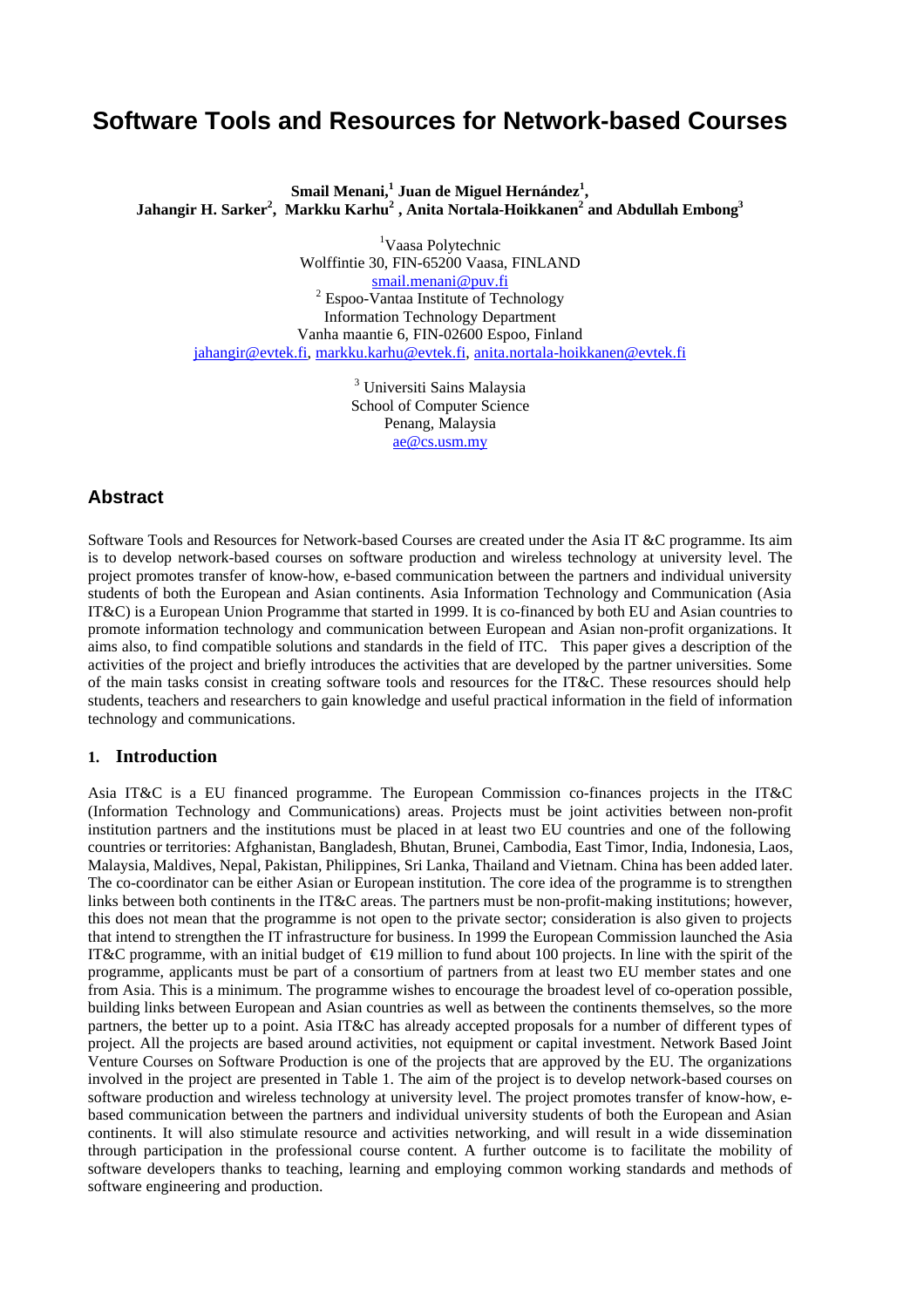# **Software Tools and Resources for Network-based Courses**

**Smail Menani,<sup>1</sup> Juan de Miguel Hernández<sup>1</sup> , Jahangir H. Sarker<sup>2</sup> , Markku Karhu<sup>2</sup> , Anita Nortala-Hoikkanen<sup>2</sup> and Abdullah Embong<sup>3</sup>**

<sup>1</sup>Vaasa Polytechnic Wolffintie 30, FIN-65200 Vaasa, FINLAND smail.menani@puv.fi <sup>2</sup> Espoo-Vantaa Institute of Technology Information Technology Department Vanha maantie 6, FIN-02600 Espoo, Finland jahangir@evtek.fi, markku.karhu@evtek.fi, anita.nortala-hoikkanen@evtek.fi

> 3 Universiti Sains Malaysia School of Computer Science Penang, Malaysia ae@cs.usm.my

# **Abstract**

Software Tools and Resources for Network-based Courses are created under the Asia IT &C programme. Its aim is to develop network-based courses on software production and wireless technology at university level. The project promotes transfer of know-how, e-based communication between the partners and individual university students of both the European and Asian continents. Asia Information Technology and Communication (Asia IT&C) is a European Union Programme that started in 1999. It is co-financed by both EU and Asian countries to promote information technology and communication between European and Asian non-profit organizations. It aims also, to find compatible solutions and standards in the field of ITC. This paper gives a description of the activities of the project and briefly introduces the activities that are developed by the partner universities. Some of the main tasks consist in creating software tools and resources for the IT&C. These resources should help students, teachers and researchers to gain knowledge and useful practical information in the field of information technology and communications.

#### **1. Introduction**

Asia IT&C is a EU financed programme. The European Commission co-finances projects in the IT&C (Information Technology and Communications) areas. Projects must be joint activities between non-profit institution partners and the institutions must be placed in at least two EU countries and one of the following countries or territories: Afghanistan, Bangladesh, Bhutan, Brunei, Cambodia, East Timor, India, Indonesia, Laos, Malaysia, Maldives, Nepal, Pakistan, Philippines, Sri Lanka, Thailand and Vietnam. China has been added later. The co-coordinator can be either Asian or European institution. The core idea of the programme is to strengthen links between both continents in the IT&C areas. The partners must be non-profit-making institutions; however, this does not mean that the programme is not open to the private sector; consideration is also given to projects that intend to strengthen the IT infrastructure for business. In 1999 the European Commission launched the Asia IT&C programme, with an initial budget of  $\epsilon$ 19 million to fund about 100 projects. In line with the spirit of the programme, applicants must be part of a consortium of partners from at least two EU member states and one from Asia. This is a minimum. The programme wishes to encourage the broadest level of co-operation possible, building links between European and Asian countries as well as between the continents themselves, so the more partners, the better up to a point. Asia IT&C has already accepted proposals for a number of different types of project. All the projects are based around activities, not equipment or capital investment. Network Based Joint Venture Courses on Software Production is one of the projects that are approved by the EU. The organizations involved in the project are presented in Table 1. The aim of the project is to develop network-based courses on software production and wireless technology at university level. The project promotes transfer of know-how, ebased communication between the partners and individual university students of both the European and Asian continents. It will also stimulate resource and activities networking, and will result in a wide dissemination through participation in the professional course content. A further outcome is to facilitate the mobility of software developers thanks to teaching, learning and employing common working standards and methods of software engineering and production.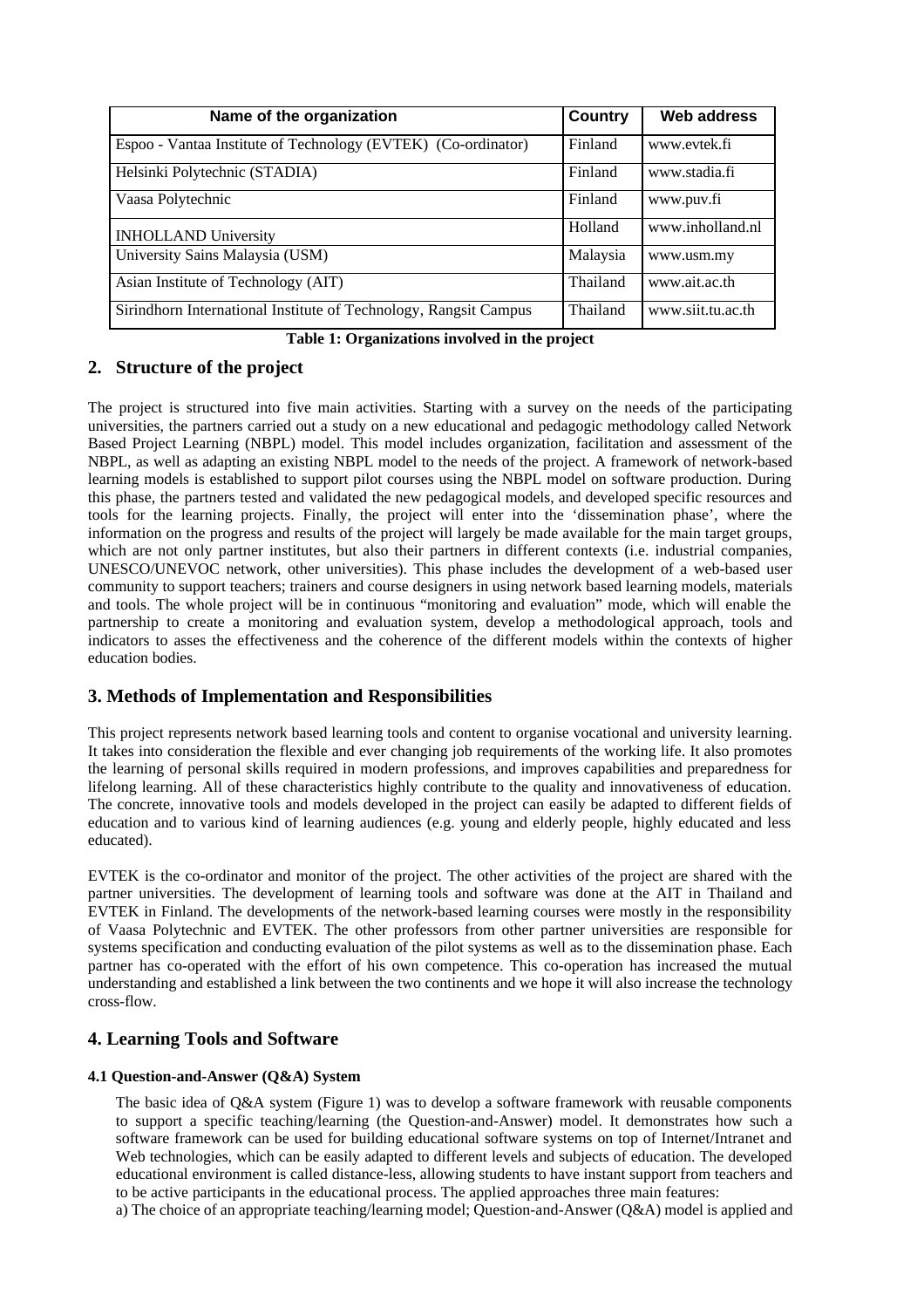| Name of the organization                                         | Country  | <b>Web address</b> |  |
|------------------------------------------------------------------|----------|--------------------|--|
| Espoo - Vantaa Institute of Technology (EVTEK) (Co-ordinator)    | Finland  | www.evtek.fi       |  |
| Helsinki Polytechnic (STADIA)                                    | Finland  | www.stadia.fi      |  |
| Vaasa Polytechnic                                                | Finland  | www.puv.fi         |  |
| <b>INHOLLAND University</b>                                      | Holland  | www.inholland.nl   |  |
| University Sains Malaysia (USM)                                  | Malaysia | www.usm.my         |  |
| Asian Institute of Technology (AIT)                              | Thailand | www.ait.ac.th      |  |
| Sirindhorn International Institute of Technology, Rangsit Campus | Thailand | www.siit.tu.ac.th  |  |

**Table 1: Organizations involved in the project** 

# **2. Structure of the project**

The project is structured into five main activities. Starting with a survey on the needs of the participating universities, the partners carried out a study on a new educational and pedagogic methodology called Network Based Project Learning (NBPL) model. This model includes organization, facilitation and assessment of the NBPL, as well as adapting an existing NBPL model to the needs of the project. A framework of network-based learning models is established to support pilot courses using the NBPL model on software production. During this phase, the partners tested and validated the new pedagogical models, and developed specific resources and tools for the learning projects. Finally, the project will enter into the 'dissemination phase', where the information on the progress and results of the project will largely be made available for the main target groups, which are not only partner institutes, but also their partners in different contexts (i.e. industrial companies, UNESCO/UNEVOC network, other universities). This phase includes the development of a web-based user community to support teachers; trainers and course designers in using network based learning models, materials and tools. The whole project will be in continuous "monitoring and evaluation" mode, which will enable the partnership to create a monitoring and evaluation system, develop a methodological approach, tools and indicators to asses the effectiveness and the coherence of the different models within the contexts of higher education bodies.

# **3. Methods of Implementation and Responsibilities**

This project represents network based learning tools and content to organise vocational and university learning. It takes into consideration the flexible and ever changing job requirements of the working life. It also promotes the learning of personal skills required in modern professions, and improves capabilities and preparedness for lifelong learning. All of these characteristics highly contribute to the quality and innovativeness of education. The concrete, innovative tools and models developed in the project can easily be adapted to different fields of education and to various kind of learning audiences (e.g. young and elderly people, highly educated and less educated).

EVTEK is the co-ordinator and monitor of the project. The other activities of the project are shared with the partner universities. The development of learning tools and software was done at the AIT in Thailand and EVTEK in Finland. The developments of the network-based learning courses were mostly in the responsibility of Vaasa Polytechnic and EVTEK. The other professors from other partner universities are responsible for systems specification and conducting evaluation of the pilot systems as well as to the dissemination phase. Each partner has co-operated with the effort of his own competence. This co-operation has increased the mutual understanding and established a link between the two continents and we hope it will also increase the technology cross-flow.

# **4. Learning Tools and Software**

### **4.1 Question-and-Answer (Q&A) System**

The basic idea of O&A system (Figure 1) was to develop a software framework with reusable components to support a specific teaching/learning (the Question-and-Answer) model. It demonstrates how such a software framework can be used for building educational software systems on top of Internet/Intranet and Web technologies, which can be easily adapted to different levels and subjects of education. The developed educational environment is called distance-less, allowing students to have instant support from teachers and to be active participants in the educational process. The applied approaches three main features:

a) The choice of an appropriate teaching/learning model; Question-and-Answer (Q&A) model is applied and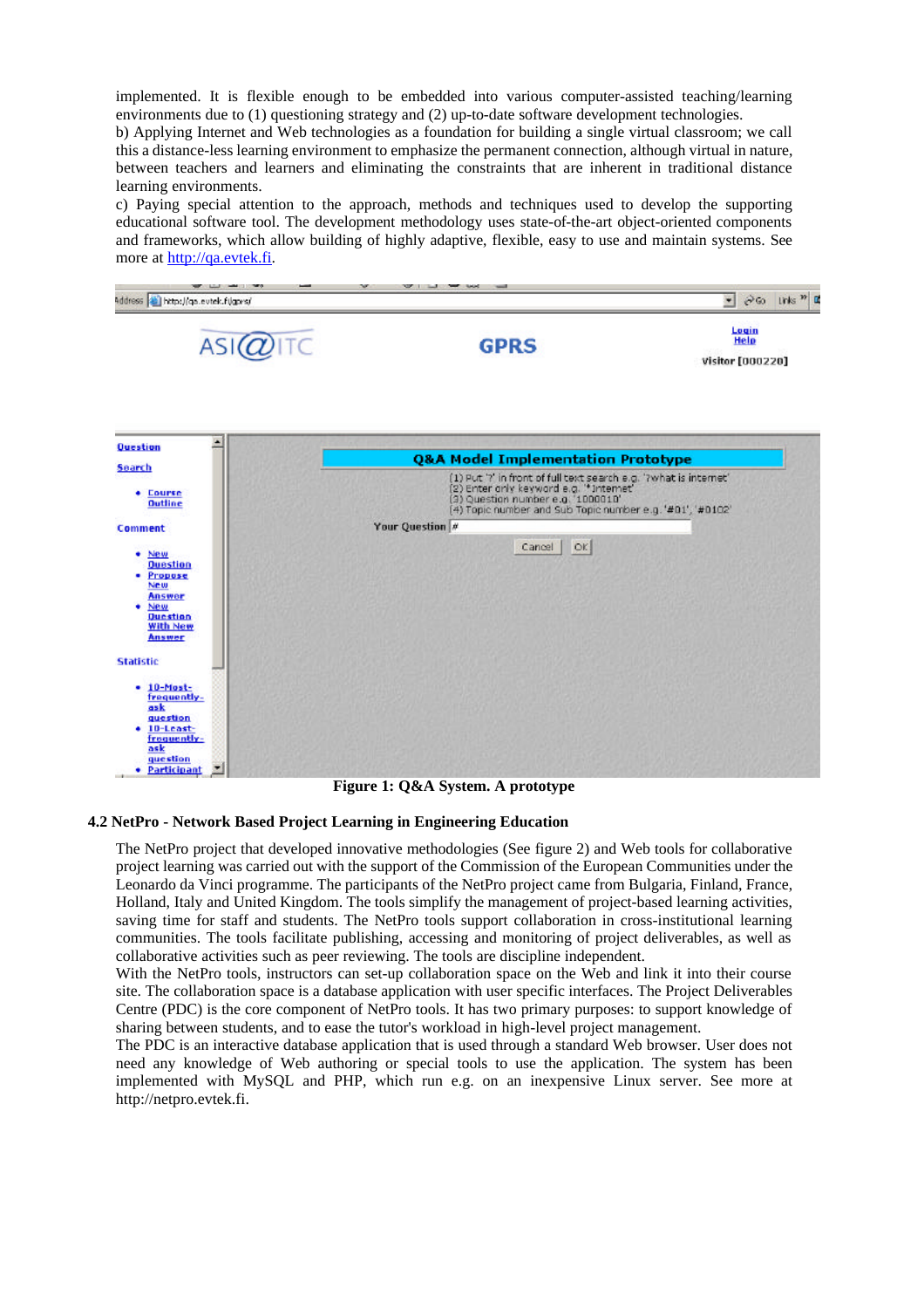implemented. It is flexible enough to be embedded into various computer-assisted teaching/learning environments due to (1) questioning strategy and (2) up-to-date software development technologies.

b) Applying Internet and Web technologies as a foundation for building a single virtual classroom; we call this a distance-less learning environment to emphasize the permanent connection, although virtual in nature, between teachers and learners and eliminating the constraints that are inherent in traditional distance learning environments.

c) Paying special attention to the approach, methods and techniques used to develop the supporting educational software tool. The development methodology uses state-of-the-art object-oriented components and frameworks, which allow building of highly adaptive, flexible, easy to use and maintain systems. See more at http://qa.evtek.fi.



**Figure 1: Q&A System. A prototype**

#### **4.2 NetPro - Network Based Project Learning in Engineering Education**

The NetPro project that developed innovative methodologies (See figure 2) and Web tools for collaborative project learning was carried out with the support of the Commission of the European Communities under the Leonardo da Vinci programme. The participants of the NetPro project came from Bulgaria, Finland, France, Holland, Italy and United Kingdom. The tools simplify the management of project-based learning activities, saving time for staff and students. The NetPro tools support collaboration in cross-institutional learning communities. The tools facilitate publishing, accessing and monitoring of project deliverables, as well as collaborative activities such as peer reviewing. The tools are discipline independent.

With the NetPro tools, instructors can set-up collaboration space on the Web and link it into their course site. The collaboration space is a database application with user specific interfaces. The Project Deliverables Centre (PDC) is the core component of NetPro tools. It has two primary purposes: to support knowledge of sharing between students, and to ease the tutor's workload in high-level project management.

The PDC is an interactive database application that is used through a standard Web browser. User does not need any knowledge of Web authoring or special tools to use the application. The system has been implemented with MySQL and PHP, which run e.g. on an inexpensive Linux server. See more at http://netpro.evtek.fi.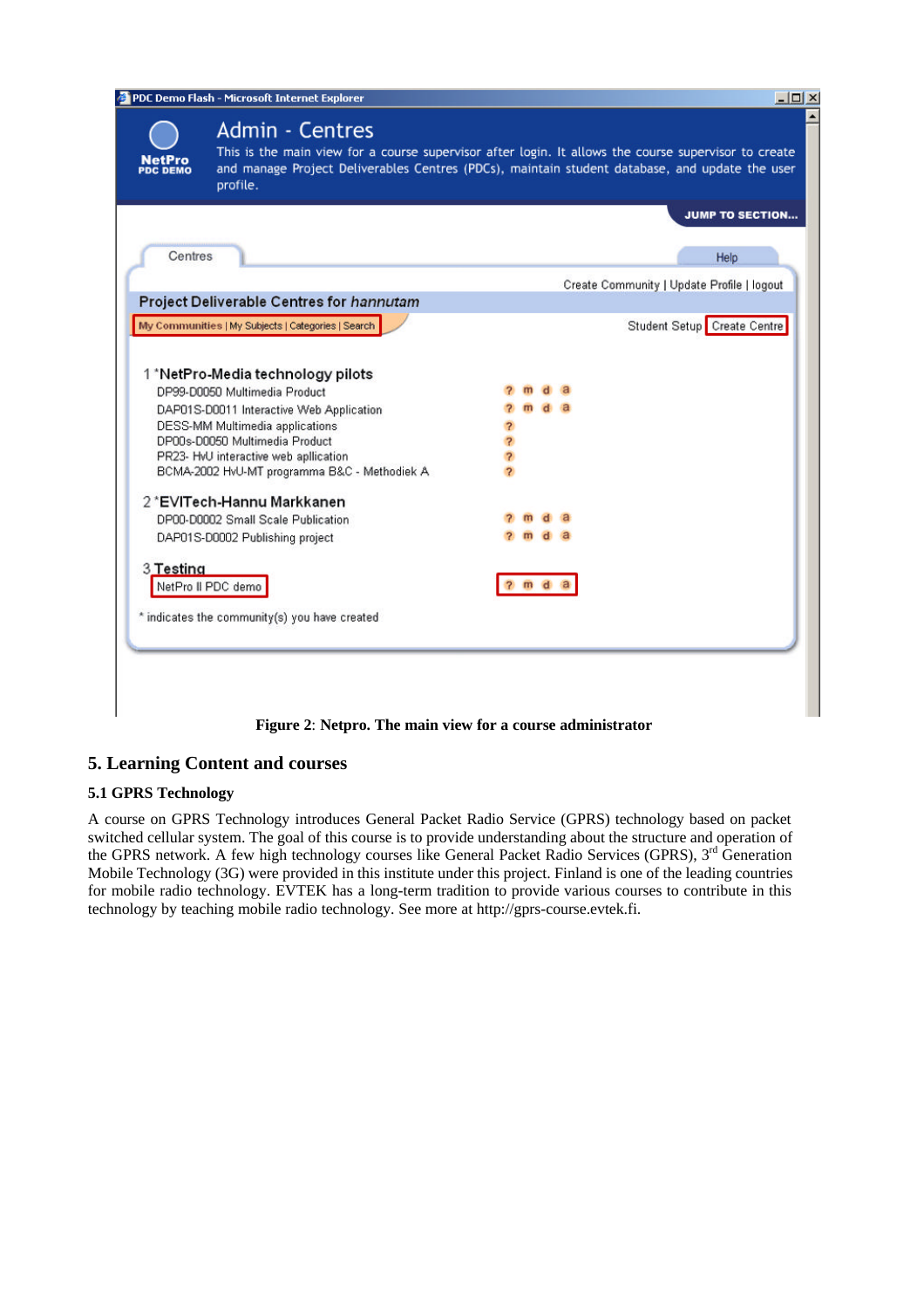| PDC Demo Flash - Microsoft Internet Explorer                                |                         |                    |              |          | $  \sqrt{2}$                                                                                                                                                                                           |
|-----------------------------------------------------------------------------|-------------------------|--------------------|--------------|----------|--------------------------------------------------------------------------------------------------------------------------------------------------------------------------------------------------------|
| <b>Admin - Centres</b><br>NetPro<br><b>DC DEMO</b><br>profile.              |                         |                    |              |          | This is the main view for a course supervisor after login. It allows the course supervisor to create<br>and manage Project Deliverables Centres (PDCs), maintain student database, and update the user |
|                                                                             |                         |                    |              |          | <b>JUMP TO SECTION</b>                                                                                                                                                                                 |
|                                                                             |                         |                    |              |          |                                                                                                                                                                                                        |
| Centres                                                                     |                         |                    |              |          | Help                                                                                                                                                                                                   |
|                                                                             |                         |                    |              |          | Create Community   Update Profile   logout                                                                                                                                                             |
| Project Deliverable Centres for hannutam                                    |                         |                    |              |          |                                                                                                                                                                                                        |
| My Communities   My Subjects   Categories   Search                          |                         |                    |              |          | Student Setup Create Centre                                                                                                                                                                            |
|                                                                             |                         |                    |              |          |                                                                                                                                                                                                        |
|                                                                             |                         |                    |              |          |                                                                                                                                                                                                        |
| 1 *NetPro-Media technology pilots<br>DP99-D0050 Multimedia Product          |                         |                    |              | <b>a</b> |                                                                                                                                                                                                        |
|                                                                             |                         |                    | $\mathbf{d}$ | a        |                                                                                                                                                                                                        |
| DAP01S-D0011 Interactive Web Application<br>DESS-MM Multimedia applications |                         |                    |              |          |                                                                                                                                                                                                        |
| DP00s-D0050 Multimedia Product                                              | $\overline{?}$          |                    |              |          |                                                                                                                                                                                                        |
| PR23- HvU interactive web apllication                                       | $\overline{\mathbf{r}}$ |                    |              |          |                                                                                                                                                                                                        |
| BCMA-2002 HvU-MT programma B&C - Methodiek A                                | $\overline{2}$          |                    |              |          |                                                                                                                                                                                                        |
| 2*EVITech-Hannu Markkanen                                                   |                         |                    |              |          |                                                                                                                                                                                                        |
| DP00-D0002 Small Scale Publication                                          |                         |                    |              |          |                                                                                                                                                                                                        |
| DAP01S-D0002 Publishing project                                             |                         |                    | $\mathbf{d}$ |          |                                                                                                                                                                                                        |
| 3 Testing                                                                   |                         |                    |              |          |                                                                                                                                                                                                        |
| NetPro Il PDC demo                                                          |                         | 2 <sub>m</sub> d a |              |          |                                                                                                                                                                                                        |
| * indicates the community(s) you have created                               |                         |                    |              |          |                                                                                                                                                                                                        |
|                                                                             |                         |                    |              |          |                                                                                                                                                                                                        |
|                                                                             |                         |                    |              |          |                                                                                                                                                                                                        |
|                                                                             |                         |                    |              |          |                                                                                                                                                                                                        |
|                                                                             |                         |                    |              |          |                                                                                                                                                                                                        |
|                                                                             |                         |                    |              |          |                                                                                                                                                                                                        |

# **5. Learning Content and courses**

### **5.1 GPRS Technology**

A course on GPRS Technology introduces General Packet Radio Service (GPRS) technology based on packet switched cellular system. The goal of this course is to provide understanding about the structure and operation of the GPRS network. A few high technology courses like General Packet Radio Services (GPRS), 3<sup>rd</sup> Generation Mobile Technology (3G) were provided in this institute under this project. Finland is one of the leading countries for mobile radio technology. EVTEK has a long-term tradition to provide various courses to contribute in this technology by teaching mobile radio technology. See more at http://gprs-course.evtek.fi.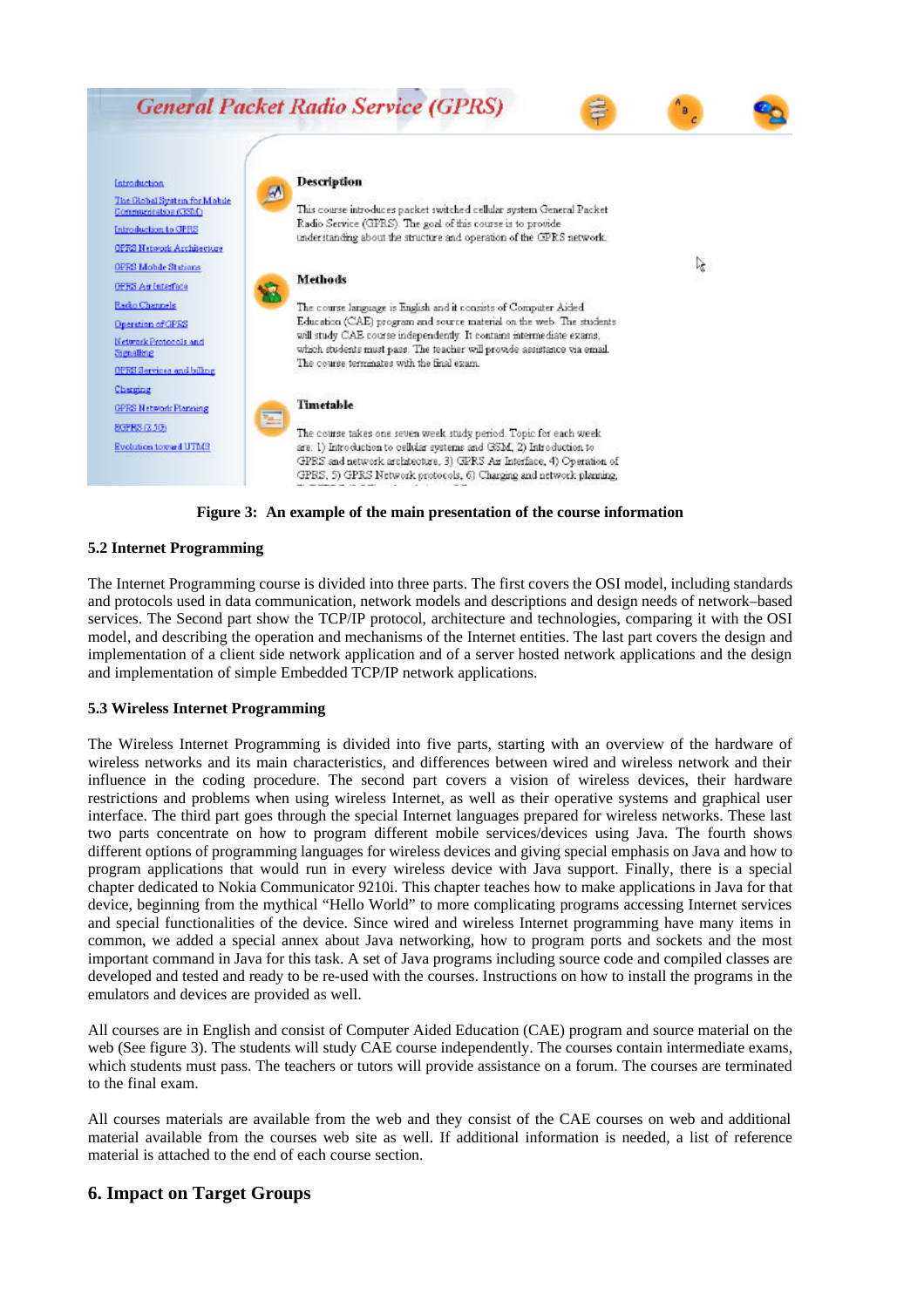# **General Packet Radio Service (GPRS)**





#### **5.2 Internet Programming**

The Internet Programming course is divided into three parts. The first covers the OSI model, including standards and protocols used in data communication, network models and descriptions and design needs of network–based services. The Second part show the TCP/IP protocol, architecture and technologies, comparing it with the OSI model, and describing the operation and mechanisms of the Internet entities. The last part covers the design and implementation of a client side network application and of a server hosted network applications and the design and implementation of simple Embedded TCP/IP network applications.

#### **5.3 Wireless Internet Programming**

The Wireless Internet Programming is divided into five parts, starting with an overview of the hardware of wireless networks and its main characteristics, and differences between wired and wireless network and their influence in the coding procedure. The second part covers a vision of wireless devices, their hardware restrictions and problems when using wireless Internet, as well as their operative systems and graphical user interface. The third part goes through the special Internet languages prepared for wireless networks. These last two parts concentrate on how to program different mobile services/devices using Java. The fourth shows different options of programming languages for wireless devices and giving special emphasis on Java and how to program applications that would run in every wireless device with Java support. Finally, there is a special chapter dedicated to Nokia Communicator 9210i. This chapter teaches how to make applications in Java for that device, beginning from the mythical "Hello World" to more complicating programs accessing Internet services and special functionalities of the device. Since wired and wireless Internet programming have many items in common, we added a special annex about Java networking, how to program ports and sockets and the most important command in Java for this task. A set of Java programs including source code and compiled classes are developed and tested and ready to be re-used with the courses. Instructions on how to install the programs in the emulators and devices are provided as well.

All courses are in English and consist of Computer Aided Education (CAE) program and source material on the web (See figure 3). The students will study CAE course independently. The courses contain intermediate exams, which students must pass. The teachers or tutors will provide assistance on a forum. The courses are terminated to the final exam.

All courses materials are available from the web and they consist of the CAE courses on web and additional material available from the courses web site as well. If additional information is needed, a list of reference material is attached to the end of each course section.

### **6. Impact on Target Groups**